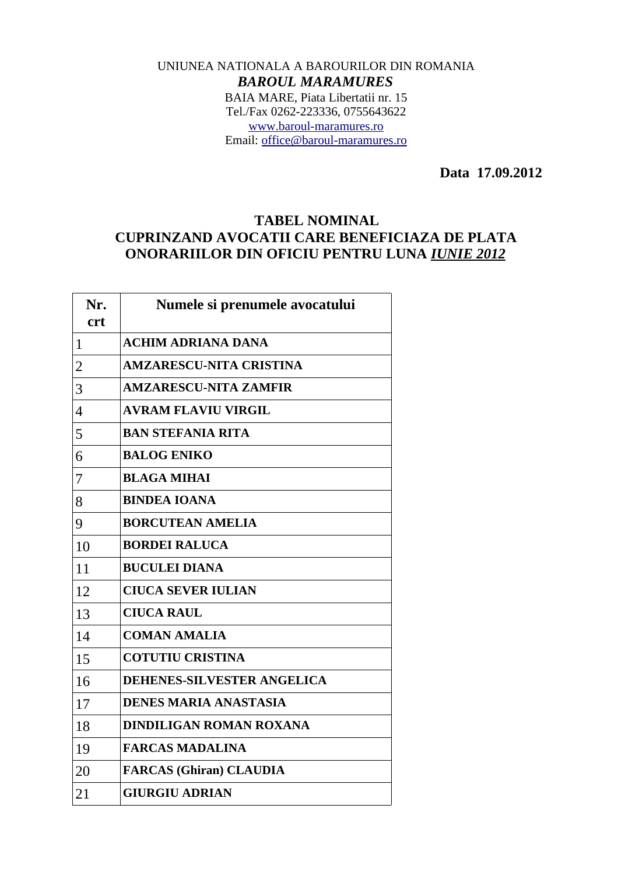## UNIUNEA NATIONALA A BAROURILOR DIN ROMANIA *BAROUL MARAMURES* BAIA MARE, Piata Libertatii nr. 15 Tel./Fax 0262-223336, 0755643622 [www.baroul-maramures.ro](http://www.baroul-maramures.ro/) Email: [office@baroul-maramures.ro](mailto:office@baroul-maramures.ro)

 **Data 17.09.2012**

## **TABEL NOMINAL CUPRINZAND AVOCATII CARE BENEFICIAZA DE PLATA ONORARIILOR DIN OFICIU PENTRU LUNA** *IUNIE 2012*

| Nr.<br><b>crt</b> | Numele si prenumele avocatului    |
|-------------------|-----------------------------------|
| $\mathbf{1}$      | <b>ACHIM ADRIANA DANA</b>         |
| $\overline{2}$    | <b>AMZARESCU-NITA CRISTINA</b>    |
| 3                 | <b>AMZARESCU-NITA ZAMFIR</b>      |
| 4                 | <b>AVRAM FLAVIU VIRGIL</b>        |
| 5                 | <b>BAN STEFANIA RITA</b>          |
| 6                 | <b>BALOG ENIKO</b>                |
| 7                 | <b>BLAGA MIHAI</b>                |
| 8                 | <b>BINDEA IOANA</b>               |
| 9                 | <b>BORCUTEAN AMELIA</b>           |
| 10                | <b>BORDEI RALUCA</b>              |
| 11                | <b>BUCULEI DIANA</b>              |
| 12                | <b>CIUCA SEVER IULIAN</b>         |
| 13                | <b>CIUCA RAUL</b>                 |
| 14                | <b>COMAN AMALIA</b>               |
| 15                | <b>COTUTIU CRISTINA</b>           |
| 16                | <b>DEHENES-SILVESTER ANGELICA</b> |
| 17                | <b>DENES MARIA ANASTASIA</b>      |
| 18                | <b>DINDILIGAN ROMAN ROXANA</b>    |
| 19                | <b>FARCAS MADALINA</b>            |
| 20                | <b>FARCAS (Ghiran) CLAUDIA</b>    |
| 21                | <b>GIURGIU ADRIAN</b>             |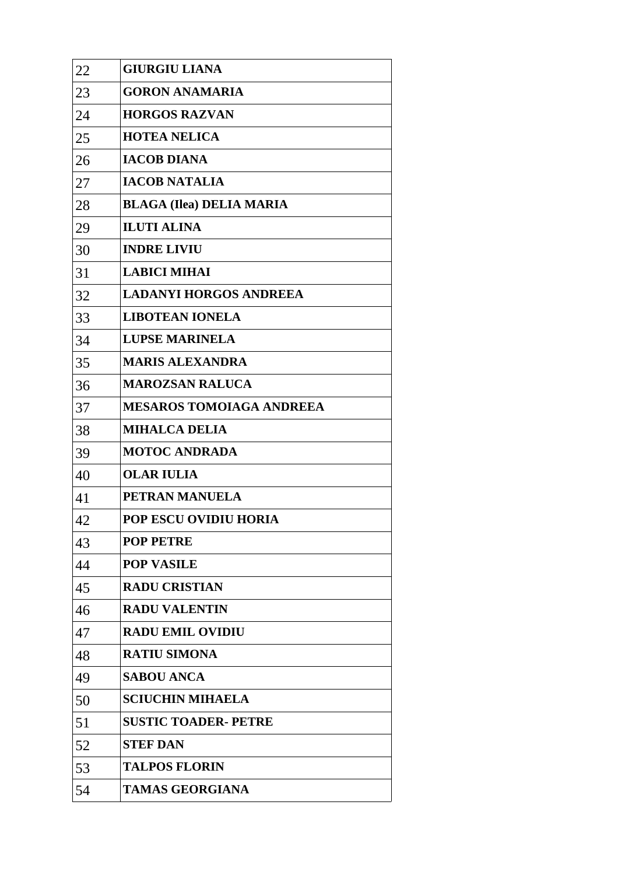| 22 | <b>GIURGIU LIANA</b>            |
|----|---------------------------------|
| 23 | <b>GORON ANAMARIA</b>           |
| 24 | <b>HORGOS RAZVAN</b>            |
| 25 | <b>HOTEA NELICA</b>             |
| 26 | <b>IACOB DIANA</b>              |
| 27 | <b>IACOB NATALIA</b>            |
| 28 | <b>BLAGA (Ilea) DELIA MARIA</b> |
| 29 | <b>ILUTI ALINA</b>              |
| 30 | <b>INDRE LIVIU</b>              |
| 31 | <b>LABICI MIHAI</b>             |
| 32 | <b>LADANYI HORGOS ANDREEA</b>   |
| 33 | <b>LIBOTEAN IONELA</b>          |
| 34 | <b>LUPSE MARINELA</b>           |
| 35 | <b>MARIS ALEXANDRA</b>          |
| 36 | <b>MAROZSAN RALUCA</b>          |
| 37 | <b>MESAROS TOMOIAGA ANDREEA</b> |
| 38 | <b>MIHALCA DELIA</b>            |
| 39 | <b>MOTOC ANDRADA</b>            |
| 40 | <b>OLAR IULIA</b>               |
| 41 | PETRAN MANUELA                  |
| 42 | POP ESCU OVIDIU HORIA           |
| 43 | <b>POP PETRE</b>                |
| 44 | <b>POP VASILE</b>               |
| 45 | <b>RADU CRISTIAN</b>            |
| 46 | <b>RADU VALENTIN</b>            |
| 47 | <b>RADU EMIL OVIDIU</b>         |
| 48 | <b>RATIU SIMONA</b>             |
| 49 | <b>SABOU ANCA</b>               |
| 50 | <b>SCIUCHIN MIHAELA</b>         |
| 51 | <b>SUSTIC TOADER- PETRE</b>     |
| 52 | <b>STEF DAN</b>                 |
| 53 | <b>TALPOS FLORIN</b>            |
| 54 | <b>TAMAS GEORGIANA</b>          |